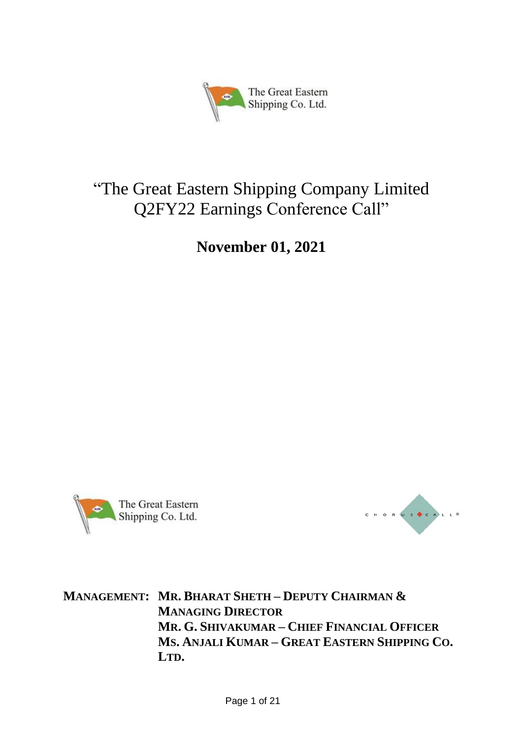

# "The Great Eastern Shipping Company Limited Q2FY22 Earnings Conference Call"

**November 01, 2021**





**MANAGEMENT: MR. BHARAT SHETH – DEPUTY CHAIRMAN & MANAGING DIRECTOR MR. G. SHIVAKUMAR – CHIEF FINANCIAL OFFICER MS. ANJALI KUMAR – GREAT EASTERN SHIPPING CO. LTD.**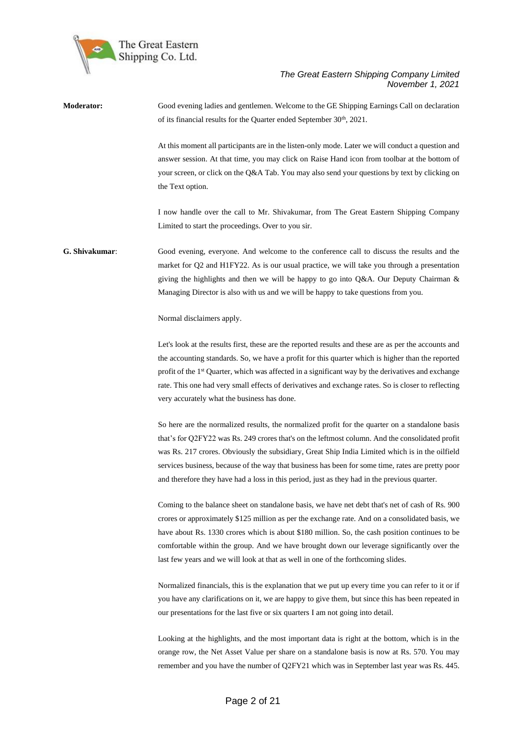

**Moderator:** Good evening ladies and gentlemen. Welcome to the GE Shipping Earnings Call on declaration of its financial results for the Quarter ended September 30<sup>th</sup>, 2021.

> At this moment all participants are in the listen-only mode. Later we will conduct a question and answer session. At that time, you may click on Raise Hand icon from toolbar at the bottom of your screen, or click on the Q&A Tab. You may also send your questions by text by clicking on the Text option.

> I now handle over the call to Mr. Shivakumar, from The Great Eastern Shipping Company Limited to start the proceedings. Over to you sir.

**G. Shivakumar**: Good evening, everyone. And welcome to the conference call to discuss the results and the market for Q2 and H1FY22. As is our usual practice, we will take you through a presentation giving the highlights and then we will be happy to go into Q&A. Our Deputy Chairman & Managing Director is also with us and we will be happy to take questions from you.

Normal disclaimers apply.

Let's look at the results first, these are the reported results and these are as per the accounts and the accounting standards. So, we have a profit for this quarter which is higher than the reported profit of the 1<sup>st</sup> Quarter, which was affected in a significant way by the derivatives and exchange rate. This one had very small effects of derivatives and exchange rates. So is closer to reflecting very accurately what the business has done.

So here are the normalized results, the normalized profit for the quarter on a standalone basis that's for Q2FY22 was Rs. 249 crores that's on the leftmost column. And the consolidated profit was Rs. 217 crores. Obviously the subsidiary, Great Ship India Limited which is in the oilfield services business, because of the way that business has been for some time, rates are pretty poor and therefore they have had a loss in this period, just as they had in the previous quarter.

Coming to the balance sheet on standalone basis, we have net debt that's net of cash of Rs. 900 crores or approximately \$125 million as per the exchange rate. And on a consolidated basis, we have about Rs. 1330 crores which is about \$180 million. So, the cash position continues to be comfortable within the group. And we have brought down our leverage significantly over the last few years and we will look at that as well in one of the forthcoming slides.

Normalized financials, this is the explanation that we put up every time you can refer to it or if you have any clarifications on it, we are happy to give them, but since this has been repeated in our presentations for the last five or six quarters I am not going into detail.

Looking at the highlights, and the most important data is right at the bottom, which is in the orange row, the Net Asset Value per share on a standalone basis is now at Rs. 570. You may remember and you have the number of Q2FY21 which was in September last year was Rs. 445.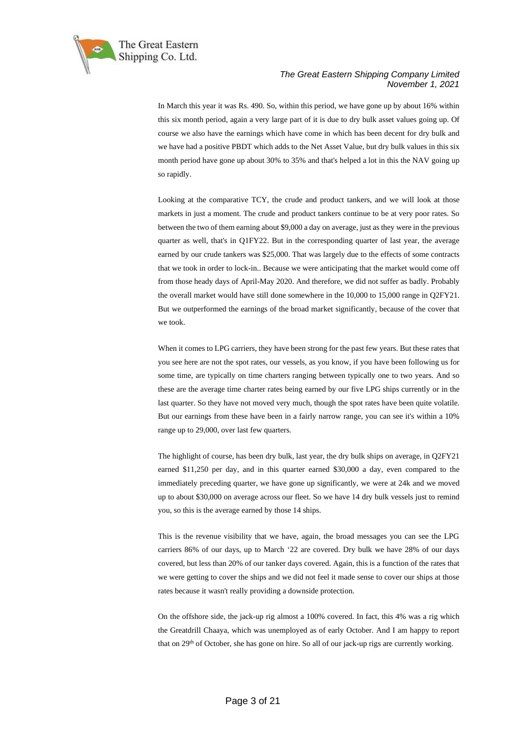

In March this year it was Rs. 490. So, within this period, we have gone up by about 16% within this six month period, again a very large part of it is due to dry bulk asset values going up. Of course we also have the earnings which have come in which has been decent for dry bulk and we have had a positive PBDT which adds to the Net Asset Value, but dry bulk values in this six month period have gone up about 30% to 35% and that's helped a lot in this the NAV going up so rapidly.

Looking at the comparative TCY, the crude and product tankers, and we will look at those markets in just a moment. The crude and product tankers continue to be at very poor rates. So between the two of them earning about \$9,000 a day on average, just as they were in the previous quarter as well, that's in Q1FY22. But in the corresponding quarter of last year, the average earned by our crude tankers was \$25,000. That was largely due to the effects of some contracts that we took in order to lock-in.. Because we were anticipating that the market would come off from those heady days of April-May 2020. And therefore, we did not suffer as badly. Probably the overall market would have still done somewhere in the 10,000 to 15,000 range in Q2FY21. But we outperformed the earnings of the broad market significantly, because of the cover that we took.

When it comes to LPG carriers, they have been strong for the past few years. But these rates that you see here are not the spot rates, our vessels, as you know, if you have been following us for some time, are typically on time charters ranging between typically one to two years. And so these are the average time charter rates being earned by our five LPG ships currently or in the last quarter. So they have not moved very much, though the spot rates have been quite volatile. But our earnings from these have been in a fairly narrow range, you can see it's within a 10% range up to 29,000, over last few quarters.

The highlight of course, has been dry bulk, last year, the dry bulk ships on average, in Q2FY21 earned \$11,250 per day, and in this quarter earned \$30,000 a day, even compared to the immediately preceding quarter, we have gone up significantly, we were at 24k and we moved up to about \$30,000 on average across our fleet. So we have 14 dry bulk vessels just to remind you, so this is the average earned by those 14 ships.

This is the revenue visibility that we have, again, the broad messages you can see the LPG carriers 86% of our days, up to March '22 are covered. Dry bulk we have 28% of our days covered, but less than 20% of our tanker days covered. Again, this is a function of the rates that we were getting to cover the ships and we did not feel it made sense to cover our ships at those rates because it wasn't really providing a downside protection.

On the offshore side, the jack-up rig almost a 100% covered. In fact, this 4% was a rig which the Greatdrill Chaaya, which was unemployed as of early October. And I am happy to report that on 29<sup>th</sup> of October, she has gone on hire. So all of our jack-up rigs are currently working.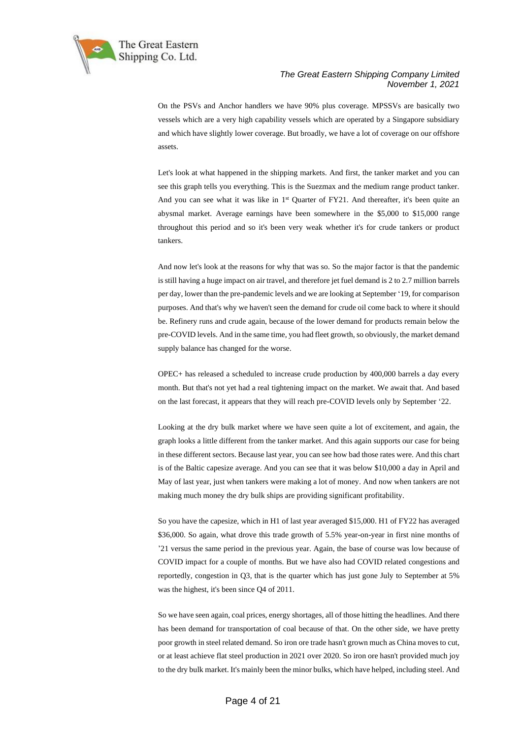

On the PSVs and Anchor handlers we have 90% plus coverage. MPSSVs are basically two vessels which are a very high capability vessels which are operated by a Singapore subsidiary and which have slightly lower coverage. But broadly, we have a lot of coverage on our offshore assets.

Let's look at what happened in the shipping markets. And first, the tanker market and you can see this graph tells you everything. This is the Suezmax and the medium range product tanker. And you can see what it was like in 1<sup>st</sup> Quarter of FY21. And thereafter, it's been quite an abysmal market. Average earnings have been somewhere in the \$5,000 to \$15,000 range throughout this period and so it's been very weak whether it's for crude tankers or product tankers.

And now let's look at the reasons for why that was so. So the major factor is that the pandemic is still having a huge impact on air travel, and therefore jet fuel demand is 2 to 2.7 million barrels per day, lower than the pre-pandemic levels and we are looking at September '19, for comparison purposes. And that's why we haven't seen the demand for crude oil come back to where it should be. Refinery runs and crude again, because of the lower demand for products remain below the pre-COVID levels. And in the same time, you had fleet growth, so obviously, the market demand supply balance has changed for the worse.

OPEC+ has released a scheduled to increase crude production by 400,000 barrels a day every month. But that's not yet had a real tightening impact on the market. We await that. And based on the last forecast, it appears that they will reach pre-COVID levels only by September '22.

Looking at the dry bulk market where we have seen quite a lot of excitement, and again, the graph looks a little different from the tanker market. And this again supports our case for being in these different sectors. Because last year, you can see how bad those rates were. And this chart is of the Baltic capesize average. And you can see that it was below \$10,000 a day in April and May of last year, just when tankers were making a lot of money. And now when tankers are not making much money the dry bulk ships are providing significant profitability.

So you have the capesize, which in H1 of last year averaged \$15,000. H1 of FY22 has averaged \$36,000. So again, what drove this trade growth of 5.5% year-on-year in first nine months of '21 versus the same period in the previous year. Again, the base of course was low because of COVID impact for a couple of months. But we have also had COVID related congestions and reportedly, congestion in Q3, that is the quarter which has just gone July to September at 5% was the highest, it's been since Q4 of 2011.

So we have seen again, coal prices, energy shortages, all of those hitting the headlines. And there has been demand for transportation of coal because of that. On the other side, we have pretty poor growth in steel related demand. So iron ore trade hasn't grown much as China moves to cut, or at least achieve flat steel production in 2021 over 2020. So iron ore hasn't provided much joy to the dry bulk market. It's mainly been the minor bulks, which have helped, including steel. And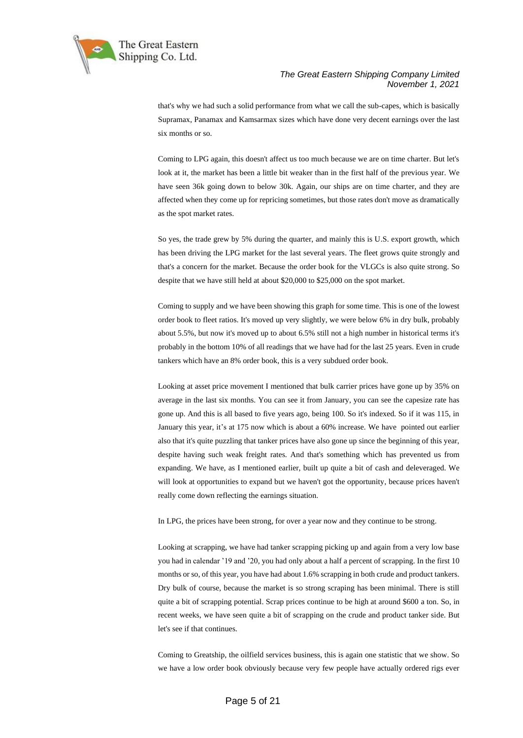

that's why we had such a solid performance from what we call the sub-capes, which is basically Supramax, Panamax and Kamsarmax sizes which have done very decent earnings over the last six months or so.

Coming to LPG again, this doesn't affect us too much because we are on time charter. But let's look at it, the market has been a little bit weaker than in the first half of the previous year. We have seen 36k going down to below 30k. Again, our ships are on time charter, and they are affected when they come up for repricing sometimes, but those rates don't move as dramatically as the spot market rates.

So yes, the trade grew by 5% during the quarter, and mainly this is U.S. export growth, which has been driving the LPG market for the last several years. The fleet grows quite strongly and that's a concern for the market. Because the order book for the VLGCs is also quite strong. So despite that we have still held at about \$20,000 to \$25,000 on the spot market.

Coming to supply and we have been showing this graph for some time. This is one of the lowest order book to fleet ratios. It's moved up very slightly, we were below 6% in dry bulk, probably about 5.5%, but now it's moved up to about 6.5% still not a high number in historical terms it's probably in the bottom 10% of all readings that we have had for the last 25 years. Even in crude tankers which have an 8% order book, this is a very subdued order book.

Looking at asset price movement I mentioned that bulk carrier prices have gone up by 35% on average in the last six months. You can see it from January, you can see the capesize rate has gone up. And this is all based to five years ago, being 100. So it's indexed. So if it was 115, in January this year, it's at 175 now which is about a 60% increase. We have pointed out earlier also that it's quite puzzling that tanker prices have also gone up since the beginning of this year, despite having such weak freight rates. And that's something which has prevented us from expanding. We have, as I mentioned earlier, built up quite a bit of cash and deleveraged. We will look at opportunities to expand but we haven't got the opportunity, because prices haven't really come down reflecting the earnings situation.

In LPG, the prices have been strong, for over a year now and they continue to be strong.

Looking at scrapping, we have had tanker scrapping picking up and again from a very low base you had in calendar '19 and '20, you had only about a half a percent of scrapping. In the first 10 months or so, of this year, you have had about 1.6% scrapping in both crude and product tankers. Dry bulk of course, because the market is so strong scraping has been minimal. There is still quite a bit of scrapping potential. Scrap prices continue to be high at around \$600 a ton. So, in recent weeks, we have seen quite a bit of scrapping on the crude and product tanker side. But let's see if that continues.

Coming to Greatship, the oilfield services business, this is again one statistic that we show. So we have a low order book obviously because very few people have actually ordered rigs ever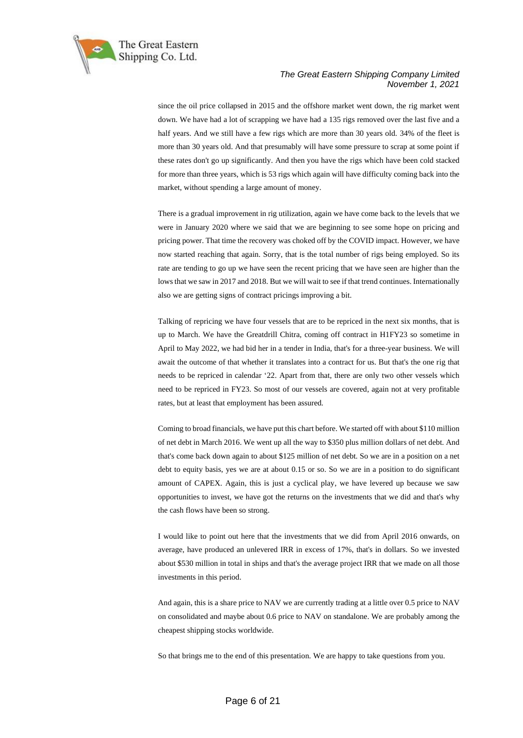

since the oil price collapsed in 2015 and the offshore market went down, the rig market went down. We have had a lot of scrapping we have had a 135 rigs removed over the last five and a half years. And we still have a few rigs which are more than 30 years old. 34% of the fleet is more than 30 years old. And that presumably will have some pressure to scrap at some point if these rates don't go up significantly. And then you have the rigs which have been cold stacked for more than three years, which is 53 rigs which again will have difficulty coming back into the market, without spending a large amount of money.

There is a gradual improvement in rig utilization, again we have come back to the levels that we were in January 2020 where we said that we are beginning to see some hope on pricing and pricing power. That time the recovery was choked off by the COVID impact. However, we have now started reaching that again. Sorry, that is the total number of rigs being employed. So its rate are tending to go up we have seen the recent pricing that we have seen are higher than the lows that we saw in 2017 and 2018. But we will wait to see if that trend continues. Internationally also we are getting signs of contract pricings improving a bit.

Talking of repricing we have four vessels that are to be repriced in the next six months, that is up to March. We have the Greatdrill Chitra, coming off contract in H1FY23 so sometime in April to May 2022, we had bid her in a tender in India, that's for a three-year business. We will await the outcome of that whether it translates into a contract for us. But that's the one rig that needs to be repriced in calendar '22. Apart from that, there are only two other vessels which need to be repriced in FY23. So most of our vessels are covered, again not at very profitable rates, but at least that employment has been assured.

Coming to broad financials, we have put this chart before. We started off with about \$110 million of net debt in March 2016. We went up all the way to \$350 plus million dollars of net debt. And that's come back down again to about \$125 million of net debt. So we are in a position on a net debt to equity basis, yes we are at about 0.15 or so. So we are in a position to do significant amount of CAPEX. Again, this is just a cyclical play, we have levered up because we saw opportunities to invest, we have got the returns on the investments that we did and that's why the cash flows have been so strong.

I would like to point out here that the investments that we did from April 2016 onwards, on average, have produced an unlevered IRR in excess of 17%, that's in dollars. So we invested about \$530 million in total in ships and that's the average project IRR that we made on all those investments in this period.

And again, this is a share price to NAV we are currently trading at a little over 0.5 price to NAV on consolidated and maybe about 0.6 price to NAV on standalone. We are probably among the cheapest shipping stocks worldwide.

So that brings me to the end of this presentation. We are happy to take questions from you.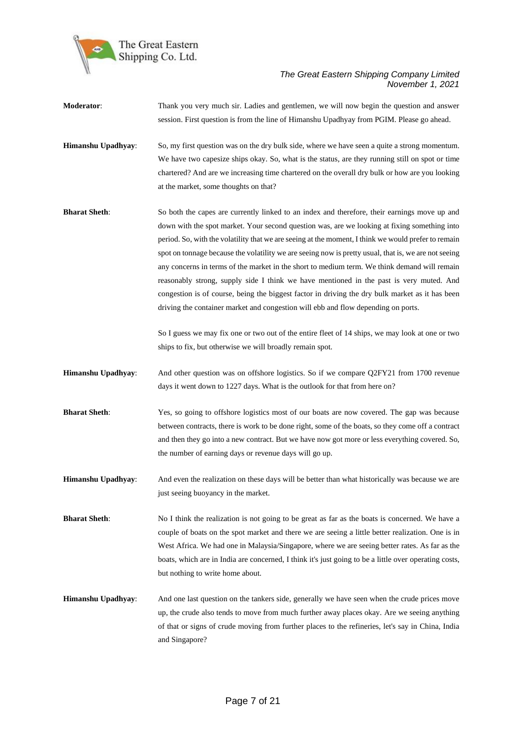

- **Moderator**: Thank you very much sir. Ladies and gentlemen, we will now begin the question and answer session. First question is from the line of Himanshu Upadhyay from PGIM. Please go ahead.
- **Himanshu Upadhyay:** So, my first question was on the dry bulk side, where we have seen a quite a strong momentum. We have two capesize ships okay. So, what is the status, are they running still on spot or time chartered? And are we increasing time chartered on the overall dry bulk or how are you looking at the market, some thoughts on that?
- **Bharat Sheth**: So both the capes are currently linked to an index and therefore, their earnings move up and down with the spot market. Your second question was, are we looking at fixing something into period. So, with the volatility that we are seeing at the moment, I think we would prefer to remain spot on tonnage because the volatility we are seeing now is pretty usual, that is, we are not seeing any concerns in terms of the market in the short to medium term. We think demand will remain reasonably strong, supply side I think we have mentioned in the past is very muted. And congestion is of course, being the biggest factor in driving the dry bulk market as it has been driving the container market and congestion will ebb and flow depending on ports.

So I guess we may fix one or two out of the entire fleet of 14 ships, we may look at one or two ships to fix, but otherwise we will broadly remain spot.

- **Himanshu Upadhyay**: And other question was on offshore logistics. So if we compare Q2FY21 from 1700 revenue days it went down to 1227 days. What is the outlook for that from here on?
- **Bharat Sheth**: Yes, so going to offshore logistics most of our boats are now covered. The gap was because between contracts, there is work to be done right, some of the boats, so they come off a contract and then they go into a new contract. But we have now got more or less everything covered. So, the number of earning days or revenue days will go up.
- **Himanshu Upadhyay**: And even the realization on these days will be better than what historically was because we are just seeing buoyancy in the market.

**Bharat Sheth**: No I think the realization is not going to be great as far as the boats is concerned. We have a couple of boats on the spot market and there we are seeing a little better realization. One is in West Africa. We had one in Malaysia/Singapore, where we are seeing better rates. As far as the boats, which are in India are concerned, I think it's just going to be a little over operating costs, but nothing to write home about.

**Himanshu Upadhyay**: And one last question on the tankers side, generally we have seen when the crude prices move up, the crude also tends to move from much further away places okay. Are we seeing anything of that or signs of crude moving from further places to the refineries, let's say in China, India and Singapore?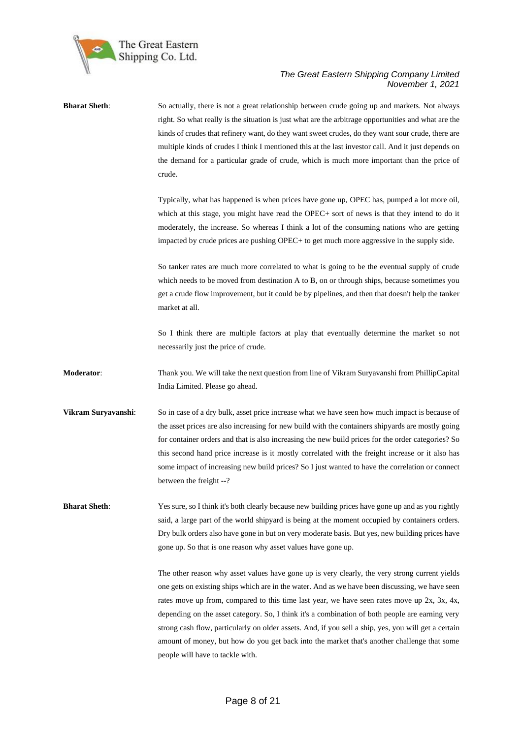

| <b>Bharat Sheth:</b> | So actually, there is not a great relationship between crude going up and markets. Not always<br>right. So what really is the situation is just what are the arbitrage opportunities and what are the<br>kinds of crudes that refinery want, do they want sweet crudes, do they want sour crude, there are<br>multiple kinds of crudes I think I mentioned this at the last investor call. And it just depends on<br>the demand for a particular grade of crude, which is much more important than the price of<br>crude.                                                                                                                               |
|----------------------|---------------------------------------------------------------------------------------------------------------------------------------------------------------------------------------------------------------------------------------------------------------------------------------------------------------------------------------------------------------------------------------------------------------------------------------------------------------------------------------------------------------------------------------------------------------------------------------------------------------------------------------------------------|
|                      | Typically, what has happened is when prices have gone up, OPEC has, pumped a lot more oil,<br>which at this stage, you might have read the OPEC+ sort of news is that they intend to do it<br>moderately, the increase. So whereas I think a lot of the consuming nations who are getting<br>impacted by crude prices are pushing OPEC+ to get much more aggressive in the supply side.                                                                                                                                                                                                                                                                 |
|                      | So tanker rates are much more correlated to what is going to be the eventual supply of crude<br>which needs to be moved from destination A to B, on or through ships, because sometimes you<br>get a crude flow improvement, but it could be by pipelines, and then that doesn't help the tanker<br>market at all.                                                                                                                                                                                                                                                                                                                                      |
|                      | So I think there are multiple factors at play that eventually determine the market so not<br>necessarily just the price of crude.                                                                                                                                                                                                                                                                                                                                                                                                                                                                                                                       |
| Moderator:           | Thank you. We will take the next question from line of Vikram Suryavanshi from PhillipCapital<br>India Limited. Please go ahead.                                                                                                                                                                                                                                                                                                                                                                                                                                                                                                                        |
| Vikram Suryavanshi:  | So in case of a dry bulk, asset price increase what we have seen how much impact is because of<br>the asset prices are also increasing for new build with the containers shippards are mostly going<br>for container orders and that is also increasing the new build prices for the order categories? So<br>this second hand price increase is it mostly correlated with the freight increase or it also has<br>some impact of increasing new build prices? So I just wanted to have the correlation or connect<br>between the freight --?                                                                                                             |
| <b>Bharat Sheth:</b> | Yes sure, so I think it's both clearly because new building prices have gone up and as you rightly<br>said, a large part of the world shipyard is being at the moment occupied by containers orders.<br>Dry bulk orders also have gone in but on very moderate basis. But yes, new building prices have<br>gone up. So that is one reason why asset values have gone up.                                                                                                                                                                                                                                                                                |
|                      | The other reason why asset values have gone up is very clearly, the very strong current yields<br>one gets on existing ships which are in the water. And as we have been discussing, we have seen<br>rates move up from, compared to this time last year, we have seen rates move up $2x$ , $3x$ , $4x$ ,<br>depending on the asset category. So, I think it's a combination of both people are earning very<br>strong cash flow, particularly on older assets. And, if you sell a ship, yes, you will get a certain<br>amount of money, but how do you get back into the market that's another challenge that some<br>people will have to tackle with. |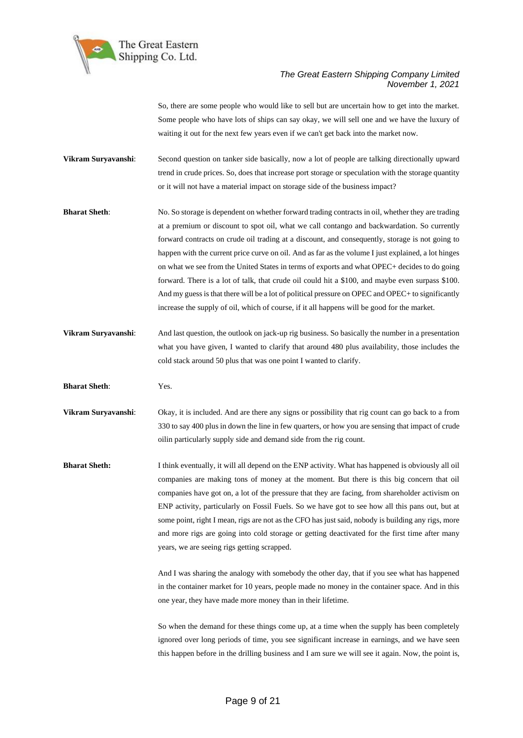

So, there are some people who would like to sell but are uncertain how to get into the market. Some people who have lots of ships can say okay, we will sell one and we have the luxury of waiting it out for the next few years even if we can't get back into the market now.

- **Vikram Suryavanshi**: Second question on tanker side basically, now a lot of people are talking directionally upward trend in crude prices. So, does that increase port storage or speculation with the storage quantity or it will not have a material impact on storage side of the business impact?
- **Bharat Sheth**: No. So storage is dependent on whether forward trading contracts in oil, whether they are trading at a premium or discount to spot oil, what we call contango and backwardation. So currently forward contracts on crude oil trading at a discount, and consequently, storage is not going to happen with the current price curve on oil. And as far as the volume I just explained, a lot hinges on what we see from the United States in terms of exports and what OPEC+ decides to do going forward. There is a lot of talk, that crude oil could hit a \$100, and maybe even surpass \$100. And my guess is that there will be a lot of political pressure on OPEC and OPEC+ to significantly increase the supply of oil, which of course, if it all happens will be good for the market.
- **Vikram Suryavanshi**: And last question, the outlook on jack-up rig business. So basically the number in a presentation what you have given, I wanted to clarify that around 480 plus availability, those includes the cold stack around 50 plus that was one point I wanted to clarify.
- **Bharat Sheth**: Yes.
- **Vikram Suryavanshi**: Okay, it is included. And are there any signs or possibility that rig count can go back to a from 330 to say 400 plus in down the line in few quarters, or how you are sensing that impact of crude oilin particularly supply side and demand side from the rig count.
- **Bharat Sheth:** I think eventually, it will all depend on the ENP activity. What has happened is obviously all oil companies are making tons of money at the moment. But there is this big concern that oil companies have got on, a lot of the pressure that they are facing, from shareholder activism on ENP activity, particularly on Fossil Fuels. So we have got to see how all this pans out, but at some point, right I mean, rigs are not as the CFO has just said, nobody is building any rigs, more and more rigs are going into cold storage or getting deactivated for the first time after many years, we are seeing rigs getting scrapped.

And I was sharing the analogy with somebody the other day, that if you see what has happened in the container market for 10 years, people made no money in the container space. And in this one year, they have made more money than in their lifetime.

So when the demand for these things come up, at a time when the supply has been completely ignored over long periods of time, you see significant increase in earnings, and we have seen this happen before in the drilling business and I am sure we will see it again. Now, the point is,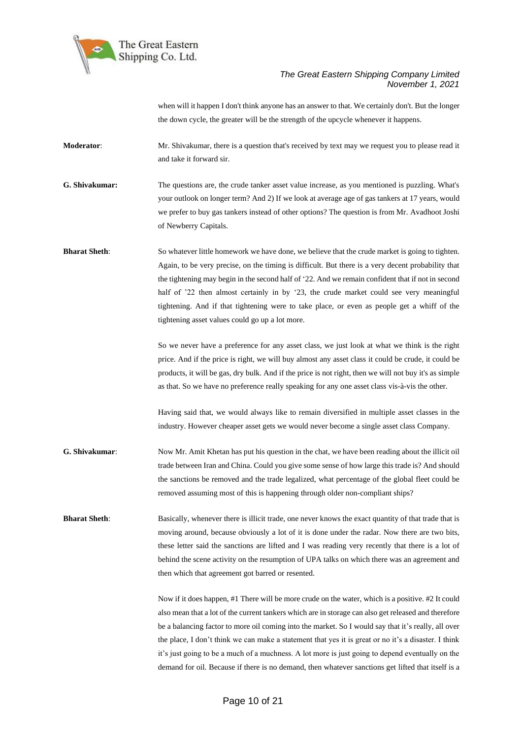

when will it happen I don't think anyone has an answer to that. We certainly don't. But the longer the down cycle, the greater will be the strength of the upcycle whenever it happens.

**Moderator**: Mr. Shivakumar, there is a question that's received by text may we request you to please read it and take it forward sir.

**G. Shivakumar:** The questions are, the crude tanker asset value increase, as you mentioned is puzzling. What's your outlook on longer term? And 2) If we look at average age of gas tankers at 17 years, would we prefer to buy gas tankers instead of other options? The question is from Mr. Avadhoot Joshi of Newberry Capitals.

**Bharat Sheth**: So whatever little homework we have done, we believe that the crude market is going to tighten. Again, to be very precise, on the timing is difficult. But there is a very decent probability that the tightening may begin in the second half of '22. And we remain confident that if not in second half of '22 then almost certainly in by '23, the crude market could see very meaningful tightening. And if that tightening were to take place, or even as people get a whiff of the tightening asset values could go up a lot more.

> So we never have a preference for any asset class, we just look at what we think is the right price. And if the price is right, we will buy almost any asset class it could be crude, it could be products, it will be gas, dry bulk. And if the price is not right, then we will not buy it's as simple as that. So we have no preference really speaking for any one asset class vis-à-vis the other.

> Having said that, we would always like to remain diversified in multiple asset classes in the industry. However cheaper asset gets we would never become a single asset class Company.

**G. Shivakumar**: Now Mr. Amit Khetan has put his question in the chat, we have been reading about the illicit oil trade between Iran and China. Could you give some sense of how large this trade is? And should the sanctions be removed and the trade legalized, what percentage of the global fleet could be removed assuming most of this is happening through older non-compliant ships?

**Bharat Sheth**: Basically, whenever there is illicit trade, one never knows the exact quantity of that trade that is moving around, because obviously a lot of it is done under the radar. Now there are two bits, these letter said the sanctions are lifted and I was reading very recently that there is a lot of behind the scene activity on the resumption of UPA talks on which there was an agreement and then which that agreement got barred or resented.

> Now if it does happen, #1 There will be more crude on the water, which is a positive. #2 It could also mean that a lot of the current tankers which are in storage can also get released and therefore be a balancing factor to more oil coming into the market. So I would say that it's really, all over the place, I don't think we can make a statement that yes it is great or no it's a disaster. I think it's just going to be a much of a muchness. A lot more is just going to depend eventually on the demand for oil. Because if there is no demand, then whatever sanctions get lifted that itself is a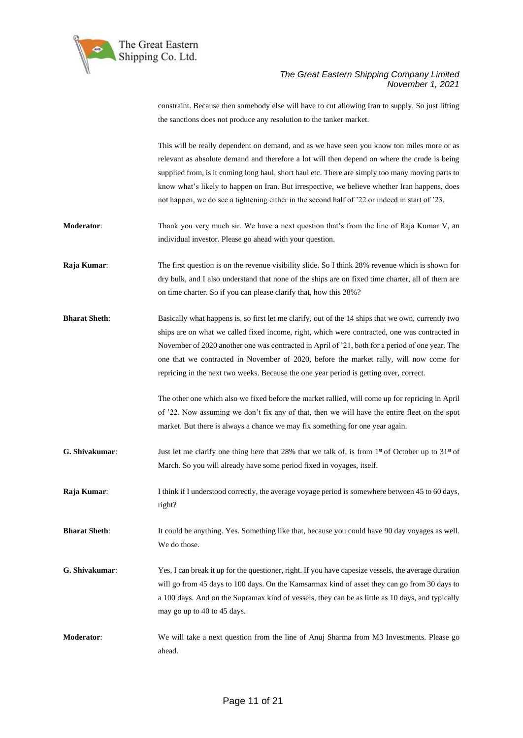

constraint. Because then somebody else will have to cut allowing Iran to supply. So just lifting

|                      | the sanctions does not produce any resolution to the tanker market.                                                                                                                                                                                                                                                                                                                                                                                                                               |
|----------------------|---------------------------------------------------------------------------------------------------------------------------------------------------------------------------------------------------------------------------------------------------------------------------------------------------------------------------------------------------------------------------------------------------------------------------------------------------------------------------------------------------|
|                      | This will be really dependent on demand, and as we have seen you know ton miles more or as<br>relevant as absolute demand and therefore a lot will then depend on where the crude is being<br>supplied from, is it coming long haul, short haul etc. There are simply too many moving parts to<br>know what's likely to happen on Iran. But irrespective, we believe whether Iran happens, does<br>not happen, we do see a tightening either in the second half of '22 or indeed in start of '23. |
| Moderator:           | Thank you very much sir. We have a next question that's from the line of Raja Kumar V, an<br>individual investor. Please go ahead with your question.                                                                                                                                                                                                                                                                                                                                             |
| Raja Kumar:          | The first question is on the revenue visibility slide. So I think 28% revenue which is shown for<br>dry bulk, and I also understand that none of the ships are on fixed time charter, all of them are<br>on time charter. So if you can please clarify that, how this 28%?                                                                                                                                                                                                                        |
| <b>Bharat Sheth:</b> | Basically what happens is, so first let me clarify, out of the 14 ships that we own, currently two<br>ships are on what we called fixed income, right, which were contracted, one was contracted in<br>November of 2020 another one was contracted in April of '21, both for a period of one year. The<br>one that we contracted in November of 2020, before the market rally, will now come for<br>repricing in the next two weeks. Because the one year period is getting over, correct.        |
|                      | The other one which also we fixed before the market rallied, will come up for repricing in April<br>of '22. Now assuming we don't fix any of that, then we will have the entire fleet on the spot<br>market. But there is always a chance we may fix something for one year again.                                                                                                                                                                                                                |
| G. Shivakumar:       | Just let me clarify one thing here that 28% that we talk of, is from 1 <sup>st</sup> of October up to 31 <sup>st</sup> of<br>March. So you will already have some period fixed in voyages, itself.                                                                                                                                                                                                                                                                                                |
| Raja Kumar:          | I think if I understood correctly, the average voyage period is somewhere between 45 to 60 days,<br>right?                                                                                                                                                                                                                                                                                                                                                                                        |
| <b>Bharat Sheth:</b> | It could be anything. Yes. Something like that, because you could have 90 day voyages as well.<br>We do those.                                                                                                                                                                                                                                                                                                                                                                                    |
| G. Shivakumar:       | Yes, I can break it up for the questioner, right. If you have capesize vessels, the average duration<br>will go from 45 days to 100 days. On the Kamsarmax kind of asset they can go from 30 days to<br>a 100 days. And on the Supramax kind of vessels, they can be as little as 10 days, and typically<br>may go up to 40 to 45 days.                                                                                                                                                           |
| <b>Moderator:</b>    | We will take a next question from the line of Anuj Sharma from M3 Investments. Please go<br>ahead.                                                                                                                                                                                                                                                                                                                                                                                                |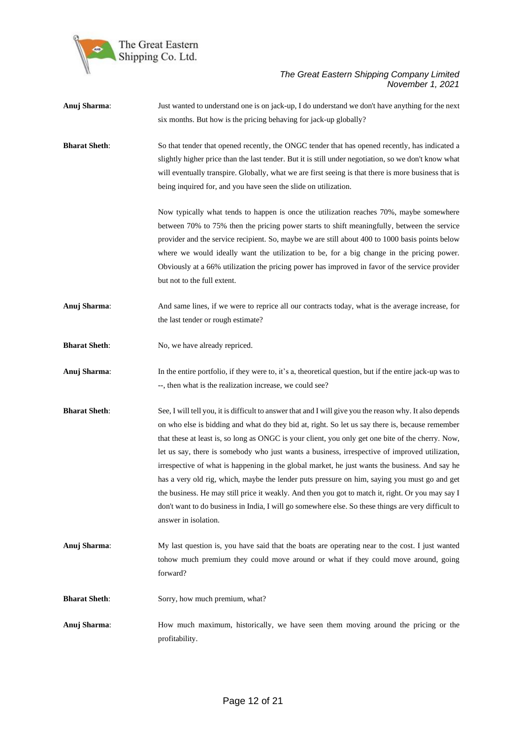

**Anuj Sharma**: Just wanted to understand one is on jack-up, I do understand we don't have anything for the next six months. But how is the pricing behaving for jack-up globally? **Bharat Sheth**: So that tender that opened recently, the ONGC tender that has opened recently, has indicated a slightly higher price than the last tender. But it is still under negotiation, so we don't know what will eventually transpire. Globally, what we are first seeing is that there is more business that is being inquired for, and you have seen the slide on utilization. Now typically what tends to happen is once the utilization reaches 70%, maybe somewhere between 70% to 75% then the pricing power starts to shift meaningfully, between the service provider and the service recipient. So, maybe we are still about 400 to 1000 basis points below where we would ideally want the utilization to be, for a big change in the pricing power. Obviously at a 66% utilization the pricing power has improved in favor of the service provider but not to the full extent. **Anuj Sharma**: And same lines, if we were to reprice all our contracts today, what is the average increase, for the last tender or rough estimate? **Bharat Sheth:** No, we have already repriced. **Anuj Sharma:** In the entire portfolio, if they were to, it's a, theoretical question, but if the entire jack-up was to --, then what is the realization increase, we could see? **Bharat Sheth**: See, I will tell you, it is difficult to answer that and I will give you the reason why. It also depends on who else is bidding and what do they bid at, right. So let us say there is, because remember that these at least is, so long as ONGC is your client, you only get one bite of the cherry. Now, let us say, there is somebody who just wants a business, irrespective of improved utilization, irrespective of what is happening in the global market, he just wants the business. And say he has a very old rig, which, maybe the lender puts pressure on him, saying you must go and get the business. He may still price it weakly. And then you got to match it, right. Or you may say I don't want to do business in India, I will go somewhere else. So these things are very difficult to answer in isolation. **Anuj Sharma**: My last question is, you have said that the boats are operating near to the cost. I just wanted tohow much premium they could move around or what if they could move around, going forward? **Bharat Sheth:** Sorry, how much premium, what? **Anuj Sharma**: How much maximum, historically, we have seen them moving around the pricing or the profitability.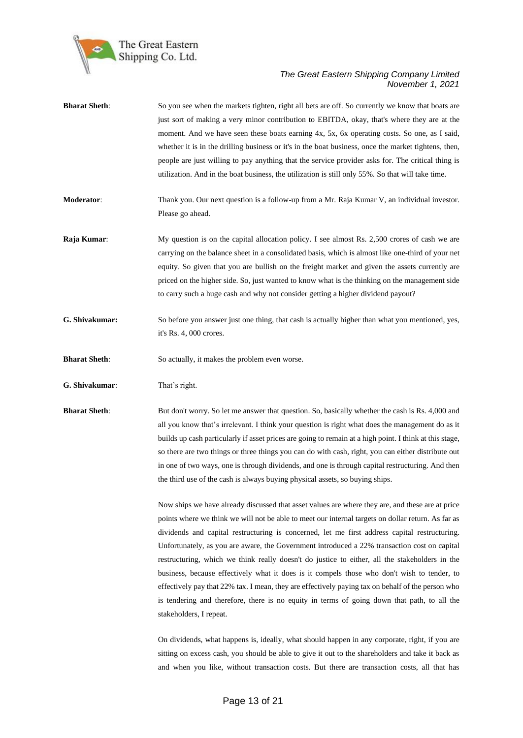

| <b>Bharat Sheth:</b> | So you see when the markets tighten, right all bets are off. So currently we know that boats are<br>just sort of making a very minor contribution to EBITDA, okay, that's where they are at the<br>moment. And we have seen these boats earning 4x, 5x, 6x operating costs. So one, as I said,<br>whether it is in the drilling business or it's in the boat business, once the market tightens, then,<br>people are just willing to pay anything that the service provider asks for. The critical thing is<br>utilization. And in the boat business, the utilization is still only 55%. So that will take time.                                                                                                                                                                                                                        |
|----------------------|-----------------------------------------------------------------------------------------------------------------------------------------------------------------------------------------------------------------------------------------------------------------------------------------------------------------------------------------------------------------------------------------------------------------------------------------------------------------------------------------------------------------------------------------------------------------------------------------------------------------------------------------------------------------------------------------------------------------------------------------------------------------------------------------------------------------------------------------|
| Moderator:           | Thank you. Our next question is a follow-up from a Mr. Raja Kumar V, an individual investor.<br>Please go ahead.                                                                                                                                                                                                                                                                                                                                                                                                                                                                                                                                                                                                                                                                                                                        |
| Raja Kumar:          | My question is on the capital allocation policy. I see almost Rs. 2,500 crores of cash we are<br>carrying on the balance sheet in a consolidated basis, which is almost like one-third of your net<br>equity. So given that you are bullish on the freight market and given the assets currently are<br>priced on the higher side. So, just wanted to know what is the thinking on the management side<br>to carry such a huge cash and why not consider getting a higher dividend payout?                                                                                                                                                                                                                                                                                                                                              |
| G. Shivakumar:       | So before you answer just one thing, that cash is actually higher than what you mentioned, yes,<br>it's Rs. 4, 000 crores.                                                                                                                                                                                                                                                                                                                                                                                                                                                                                                                                                                                                                                                                                                              |
| <b>Bharat Sheth:</b> | So actually, it makes the problem even worse.                                                                                                                                                                                                                                                                                                                                                                                                                                                                                                                                                                                                                                                                                                                                                                                           |
| G. Shivakumar:       | That's right.                                                                                                                                                                                                                                                                                                                                                                                                                                                                                                                                                                                                                                                                                                                                                                                                                           |
| <b>Bharat Sheth:</b> | But don't worry. So let me answer that question. So, basically whether the cash is Rs. 4,000 and<br>all you know that's irrelevant. I think your question is right what does the management do as it<br>builds up cash particularly if asset prices are going to remain at a high point. I think at this stage,<br>so there are two things or three things you can do with cash, right, you can either distribute out<br>in one of two ways, one is through dividends, and one is through capital restructuring. And then<br>the third use of the cash is always buying physical assets, so buying ships.                                                                                                                                                                                                                               |
|                      | Now ships we have already discussed that asset values are where they are, and these are at price<br>points where we think we will not be able to meet our internal targets on dollar return. As far as<br>dividends and capital restructuring is concerned, let me first address capital restructuring.<br>Unfortunately, as you are aware, the Government introduced a 22% transaction cost on capital<br>restructuring, which we think really doesn't do justice to either, all the stakeholders in the<br>business, because effectively what it does is it compels those who don't wish to tender, to<br>effectively pay that 22% tax. I mean, they are effectively paying tax on behalf of the person who<br>is tendering and therefore, there is no equity in terms of going down that path, to all the<br>stakeholders, I repeat. |

On dividends, what happens is, ideally, what should happen in any corporate, right, if you are sitting on excess cash, you should be able to give it out to the shareholders and take it back as and when you like, without transaction costs. But there are transaction costs, all that has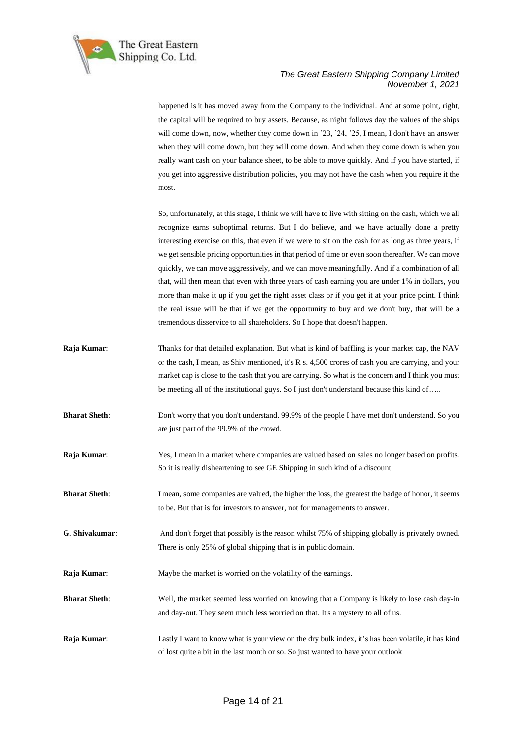

happened is it has moved away from the Company to the individual. And at some point, right, the capital will be required to buy assets. Because, as night follows day the values of the ships will come down, now, whether they come down in '23, '24, '25, I mean, I don't have an answer when they will come down, but they will come down. And when they come down is when you really want cash on your balance sheet, to be able to move quickly. And if you have started, if you get into aggressive distribution policies, you may not have the cash when you require it the most.

So, unfortunately, at this stage, I think we will have to live with sitting on the cash, which we all recognize earns suboptimal returns. But I do believe, and we have actually done a pretty interesting exercise on this, that even if we were to sit on the cash for as long as three years, if we get sensible pricing opportunities in that period of time or even soon thereafter. We can move quickly, we can move aggressively, and we can move meaningfully. And if a combination of all that, will then mean that even with three years of cash earning you are under 1% in dollars, you more than make it up if you get the right asset class or if you get it at your price point. I think the real issue will be that if we get the opportunity to buy and we don't buy, that will be a tremendous disservice to all shareholders. So I hope that doesn't happen.

- **Raja Kumar:** Thanks for that detailed explanation. But what is kind of baffling is your market cap, the NAV or the cash, I mean, as Shiv mentioned, it's R s. 4,500 crores of cash you are carrying, and your market cap is close to the cash that you are carrying. So what is the concern and I think you must be meeting all of the institutional guys. So I just don't understand because this kind of…..
- **Bharat Sheth**: Don't worry that you don't understand. 99.9% of the people I have met don't understand. So you are just part of the 99.9% of the crowd.
- **Raja Kumar**: Yes, I mean in a market where companies are valued based on sales no longer based on profits. So it is really disheartening to see GE Shipping in such kind of a discount.
- **Bharat Sheth**: I mean, some companies are valued, the higher the loss, the greatest the badge of honor, it seems to be. But that is for investors to answer, not for managements to answer.
- **G**. **Shivakumar**: And don't forget that possibly is the reason whilst 75% of shipping globally is privately owned. There is only 25% of global shipping that is in public domain.
- **Raja Kumar:** Maybe the market is worried on the volatility of the earnings.
- **Bharat Sheth**: Well, the market seemed less worried on knowing that a Company is likely to lose cash day-in and day-out. They seem much less worried on that. It's a mystery to all of us.
- **Raja Kumar:** Lastly I want to know what is your view on the dry bulk index, it's has been volatile, it has kind of lost quite a bit in the last month or so. So just wanted to have your outlook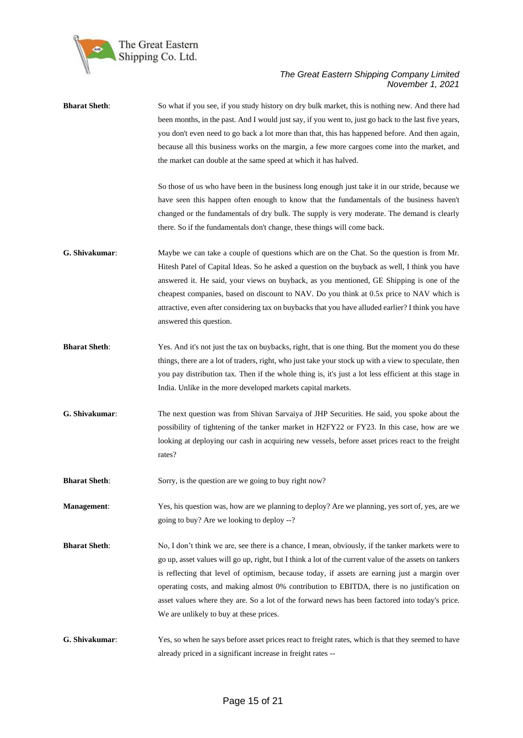

| <b>Bharat Sheth:</b> | So what if you see, if you study history on dry bulk market, this is nothing new. And there had<br>been months, in the past. And I would just say, if you went to, just go back to the last five years,<br>you don't even need to go back a lot more than that, this has happened before. And then again,<br>because all this business works on the margin, a few more cargoes come into the market, and<br>the market can double at the same speed at which it has halved.                                                                              |
|----------------------|----------------------------------------------------------------------------------------------------------------------------------------------------------------------------------------------------------------------------------------------------------------------------------------------------------------------------------------------------------------------------------------------------------------------------------------------------------------------------------------------------------------------------------------------------------|
|                      | So those of us who have been in the business long enough just take it in our stride, because we<br>have seen this happen often enough to know that the fundamentals of the business haven't<br>changed or the fundamentals of dry bulk. The supply is very moderate. The demand is clearly<br>there. So if the fundamentals don't change, these things will come back.                                                                                                                                                                                   |
| G. Shivakumar:       | Maybe we can take a couple of questions which are on the Chat. So the question is from Mr.<br>Hitesh Patel of Capital Ideas. So he asked a question on the buyback as well, I think you have<br>answered it. He said, your views on buyback, as you mentioned, GE Shipping is one of the<br>cheapest companies, based on discount to NAV. Do you think at 0.5x price to NAV which is<br>attractive, even after considering tax on buybacks that you have alluded earlier? I think you have<br>answered this question.                                    |
| <b>Bharat Sheth:</b> | Yes. And it's not just the tax on buybacks, right, that is one thing. But the moment you do these<br>things, there are a lot of traders, right, who just take your stock up with a view to speculate, then<br>you pay distribution tax. Then if the whole thing is, it's just a lot less efficient at this stage in<br>India. Unlike in the more developed markets capital markets.                                                                                                                                                                      |
| G. Shivakumar:       | The next question was from Shivan Sarvaiya of JHP Securities. He said, you spoke about the<br>possibility of tightening of the tanker market in H2FY22 or FY23. In this case, how are we<br>looking at deploying our cash in acquiring new vessels, before asset prices react to the freight<br>rates?                                                                                                                                                                                                                                                   |
| <b>Bharat Sheth:</b> | Sorry, is the question are we going to buy right now?                                                                                                                                                                                                                                                                                                                                                                                                                                                                                                    |
| Management:          | Yes, his question was, how are we planning to deploy? Are we planning, yes sort of, yes, are we<br>going to buy? Are we looking to deploy --?                                                                                                                                                                                                                                                                                                                                                                                                            |
| <b>Bharat Sheth:</b> | No, I don't think we are, see there is a chance, I mean, obviously, if the tanker markets were to<br>go up, asset values will go up, right, but I think a lot of the current value of the assets on tankers<br>is reflecting that level of optimism, because today, if assets are earning just a margin over<br>operating costs, and making almost 0% contribution to EBITDA, there is no justification on<br>asset values where they are. So a lot of the forward news has been factored into today's price.<br>We are unlikely to buy at these prices. |
| G. Shivakumar:       | Yes, so when he says before asset prices react to freight rates, which is that they seemed to have<br>already priced in a significant increase in freight rates --                                                                                                                                                                                                                                                                                                                                                                                       |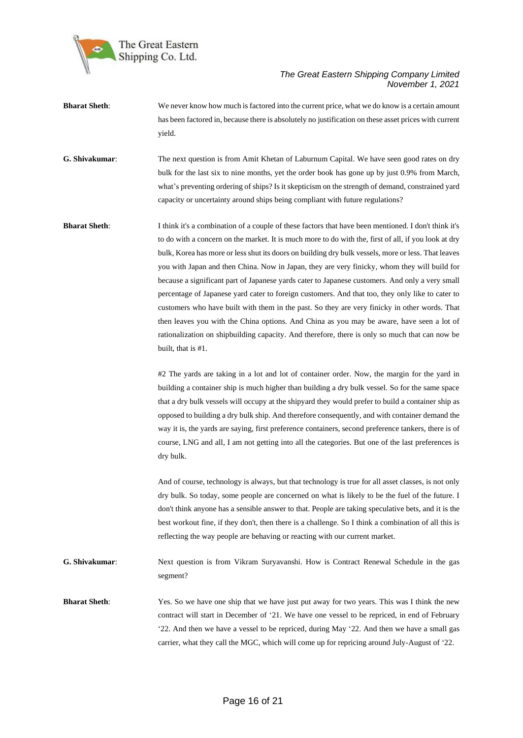

- **Bharat Sheth**: We never know how much is factored into the current price, what we do know is a certain amount has been factored in, because there is absolutely no justification on these asset prices with current yield.
- **G. Shivakumar**: The next question is from Amit Khetan of Laburnum Capital. We have seen good rates on dry bulk for the last six to nine months, yet the order book has gone up by just 0.9% from March, what's preventing ordering of ships? Is it skepticism on the strength of demand, constrained yard capacity or uncertainty around ships being compliant with future regulations?
- **Bharat Sheth**: I think it's a combination of a couple of these factors that have been mentioned. I don't think it's to do with a concern on the market. It is much more to do with the, first of all, if you look at dry bulk, Korea has more or less shut its doors on building dry bulk vessels, more or less. That leaves you with Japan and then China. Now in Japan, they are very finicky, whom they will build for because a significant part of Japanese yards cater to Japanese customers. And only a very small percentage of Japanese yard cater to foreign customers. And that too, they only like to cater to customers who have built with them in the past. So they are very finicky in other words. That then leaves you with the China options. And China as you may be aware, have seen a lot of rationalization on shipbuilding capacity. And therefore, there is only so much that can now be built, that is #1.

#2 The yards are taking in a lot and lot of container order. Now, the margin for the yard in building a container ship is much higher than building a dry bulk vessel. So for the same space that a dry bulk vessels will occupy at the shipyard they would prefer to build a container ship as opposed to building a dry bulk ship. And therefore consequently, and with container demand the way it is, the yards are saying, first preference containers, second preference tankers, there is of course, LNG and all, I am not getting into all the categories. But one of the last preferences is dry bulk.

And of course, technology is always, but that technology is true for all asset classes, is not only dry bulk. So today, some people are concerned on what is likely to be the fuel of the future. I don't think anyone has a sensible answer to that. People are taking speculative bets, and it is the best workout fine, if they don't, then there is a challenge. So I think a combination of all this is reflecting the way people are behaving or reacting with our current market.

**G. Shivakumar**: Next question is from Vikram Suryavanshi. How is Contract Renewal Schedule in the gas segment?

**Bharat Sheth**: Yes. So we have one ship that we have just put away for two years. This was I think the new contract will start in December of '21. We have one vessel to be repriced, in end of February '22. And then we have a vessel to be repriced, during May '22. And then we have a small gas carrier, what they call the MGC, which will come up for repricing around July-August of '22.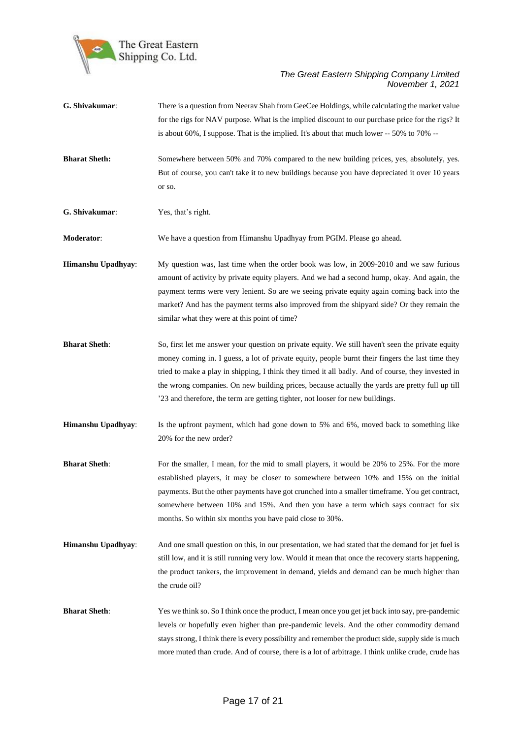

| G. Shivakumar:       | There is a question from Neerav Shah from GeeCee Holdings, while calculating the market value<br>for the rigs for NAV purpose. What is the implied discount to our purchase price for the rigs? It<br>is about 60%, I suppose. That is the implied. It's about that much lower -- 50% to 70% --                                                                                                                                                                                                  |
|----------------------|--------------------------------------------------------------------------------------------------------------------------------------------------------------------------------------------------------------------------------------------------------------------------------------------------------------------------------------------------------------------------------------------------------------------------------------------------------------------------------------------------|
| <b>Bharat Sheth:</b> | Somewhere between 50% and 70% compared to the new building prices, yes, absolutely, yes.<br>But of course, you can't take it to new buildings because you have depreciated it over 10 years<br>or so.                                                                                                                                                                                                                                                                                            |
| G. Shivakumar:       | Yes, that's right.                                                                                                                                                                                                                                                                                                                                                                                                                                                                               |
| Moderator:           | We have a question from Himanshu Upadhyay from PGIM. Please go ahead.                                                                                                                                                                                                                                                                                                                                                                                                                            |
| Himanshu Upadhyay:   | My question was, last time when the order book was low, in 2009-2010 and we saw furious<br>amount of activity by private equity players. And we had a second hump, okay. And again, the<br>payment terms were very lenient. So are we seeing private equity again coming back into the<br>market? And has the payment terms also improved from the shipyard side? Or they remain the<br>similar what they were at this point of time?                                                            |
| <b>Bharat Sheth:</b> | So, first let me answer your question on private equity. We still haven't seen the private equity<br>money coming in. I guess, a lot of private equity, people burnt their fingers the last time they<br>tried to make a play in shipping, I think they timed it all badly. And of course, they invested in<br>the wrong companies. On new building prices, because actually the yards are pretty full up till<br>'23 and therefore, the term are getting tighter, not looser for new buildings. |
| Himanshu Upadhyay:   | Is the upfront payment, which had gone down to 5% and 6%, moved back to something like<br>20% for the new order?                                                                                                                                                                                                                                                                                                                                                                                 |
| <b>Bharat Sheth:</b> | For the smaller, I mean, for the mid to small players, it would be 20% to 25%. For the more<br>established players, it may be closer to somewhere between 10% and 15% on the initial<br>payments. But the other payments have got crunched into a smaller timeframe. You get contract,<br>somewhere between 10% and 15%. And then you have a term which says contract for six<br>months. So within six months you have paid close to 30%.                                                        |
| Himanshu Upadhyay:   | And one small question on this, in our presentation, we had stated that the demand for jet fuel is<br>still low, and it is still running very low. Would it mean that once the recovery starts happening,<br>the product tankers, the improvement in demand, yields and demand can be much higher than<br>the crude oil?                                                                                                                                                                         |
| <b>Bharat Sheth:</b> | Yes we think so. So I think once the product, I mean once you get jet back into say, pre-pandemic<br>levels or hopefully even higher than pre-pandemic levels. And the other commodity demand<br>stays strong, I think there is every possibility and remember the product side, supply side is much<br>more muted than crude. And of course, there is a lot of arbitrage. I think unlike crude, crude has                                                                                       |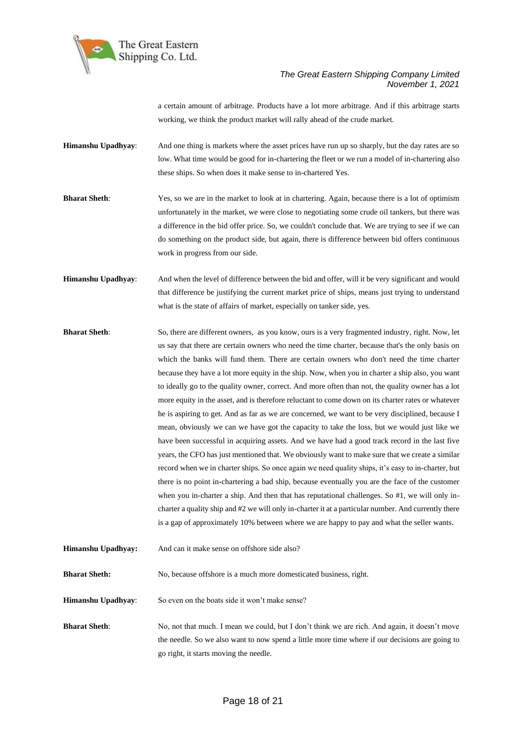

a certain amount of arbitrage. Products have a lot more arbitrage. And if this arbitrage starts working, we think the product market will rally ahead of the crude market.

**Himanshu Upadhyay**: And one thing is markets where the asset prices have run up so sharply, but the day rates are so low. What time would be good for in-chartering the fleet or we run a model of in-chartering also these ships. So when does it make sense to in-chartered Yes.

**Bharat Sheth**: Yes, so we are in the market to look at in chartering. Again, because there is a lot of optimism unfortunately in the market, we were close to negotiating some crude oil tankers, but there was a difference in the bid offer price. So, we couldn't conclude that. We are trying to see if we can do something on the product side, but again, there is difference between bid offers continuous work in progress from our side.

**Himanshu Upadhyay**: And when the level of difference between the bid and offer, will it be very significant and would that difference be justifying the current market price of ships, means just trying to understand what is the state of affairs of market, especially on tanker side, yes.

- **Bharat Sheth**: So, there are different owners, as you know, ours is a very fragmented industry, right. Now, let us say that there are certain owners who need the time charter, because that's the only basis on which the banks will fund them. There are certain owners who don't need the time charter because they have a lot more equity in the ship. Now, when you in charter a ship also, you want to ideally go to the quality owner, correct. And more often than not, the quality owner has a lot more equity in the asset, and is therefore reluctant to come down on its charter rates or whatever he is aspiring to get. And as far as we are concerned, we want to be very disciplined, because I mean, obviously we can we have got the capacity to take the loss, but we would just like we have been successful in acquiring assets. And we have had a good track record in the last five years, the CFO has just mentioned that. We obviously want to make sure that we create a similar record when we in charter ships. So once again we need quality ships, it's easy to in-charter, but there is no point in-chartering a bad ship, because eventually you are the face of the customer when you in-charter a ship. And then that has reputational challenges. So #1, we will only incharter a quality ship and #2 we will only in-charter it at a particular number. And currently there is a gap of approximately 10% between where we are happy to pay and what the seller wants.
- **Himanshu Upadhyay:** And can it make sense on offshore side also?

**Bharat Sheth:** No, because offshore is a much more domesticated business, right.

**Himanshu Upadhyay**: So even on the boats side it won't make sense?

**Bharat Sheth**: No, not that much. I mean we could, but I don't think we are rich. And again, it doesn't move the needle. So we also want to now spend a little more time where if our decisions are going to go right, it starts moving the needle.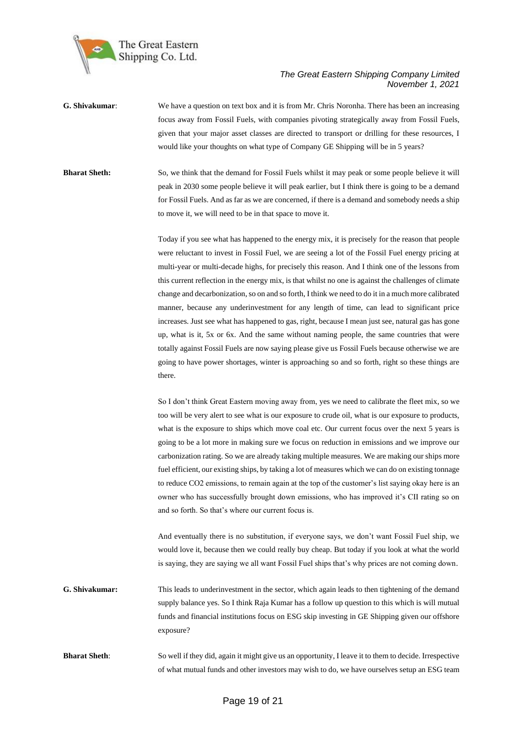

- **G. Shivakumar**: We have a question on text box and it is from Mr. Chris Noronha. There has been an increasing focus away from Fossil Fuels, with companies pivoting strategically away from Fossil Fuels, given that your major asset classes are directed to transport or drilling for these resources, I would like your thoughts on what type of Company GE Shipping will be in 5 years?
- **Bharat Sheth:** So, we think that the demand for Fossil Fuels whilst it may peak or some people believe it will peak in 2030 some people believe it will peak earlier, but I think there is going to be a demand for Fossil Fuels. And as far as we are concerned, if there is a demand and somebody needs a ship to move it, we will need to be in that space to move it.

Today if you see what has happened to the energy mix, it is precisely for the reason that people were reluctant to invest in Fossil Fuel, we are seeing a lot of the Fossil Fuel energy pricing at multi-year or multi-decade highs, for precisely this reason. And I think one of the lessons from this current reflection in the energy mix, is that whilst no one is against the challenges of climate change and decarbonization, so on and so forth, I think we need to do it in a much more calibrated manner, because any underinvestment for any length of time, can lead to significant price increases. Just see what has happened to gas, right, because I mean just see, natural gas has gone up, what is it, 5x or 6x. And the same without naming people, the same countries that were totally against Fossil Fuels are now saying please give us Fossil Fuels because otherwise we are going to have power shortages, winter is approaching so and so forth, right so these things are there.

So I don't think Great Eastern moving away from, yes we need to calibrate the fleet mix, so we too will be very alert to see what is our exposure to crude oil, what is our exposure to products, what is the exposure to ships which move coal etc. Our current focus over the next 5 years is going to be a lot more in making sure we focus on reduction in emissions and we improve our carbonization rating. So we are already taking multiple measures. We are making our ships more fuel efficient, our existing ships, by taking a lot of measures which we can do on existing tonnage to reduce CO2 emissions, to remain again at the top of the customer's list saying okay here is an owner who has successfully brought down emissions, who has improved it's CII rating so on and so forth. So that's where our current focus is.

And eventually there is no substitution, if everyone says, we don't want Fossil Fuel ship, we would love it, because then we could really buy cheap. But today if you look at what the world is saying, they are saying we all want Fossil Fuel ships that's why prices are not coming down.

**G. Shivakumar:** This leads to underinvestment in the sector, which again leads to then tightening of the demand supply balance yes. So I think Raja Kumar has a follow up question to this which is will mutual funds and financial institutions focus on ESG skip investing in GE Shipping given our offshore exposure?

**Bharat Sheth**: So well if they did, again it might give us an opportunity, I leave it to them to decide. Irrespective of what mutual funds and other investors may wish to do, we have ourselves setup an ESG team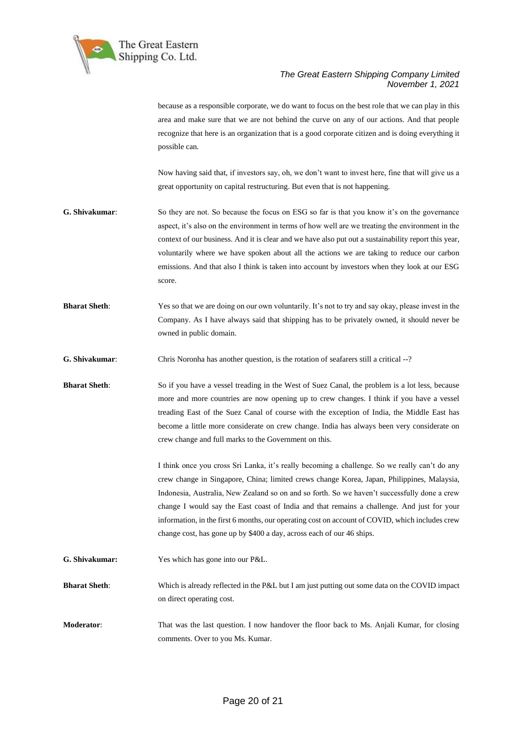

because as a responsible corporate, we do want to focus on the best role that we can play in this area and make sure that we are not behind the curve on any of our actions. And that people recognize that here is an organization that is a good corporate citizen and is doing everything it possible can.

Now having said that, if investors say, oh, we don't want to invest here, fine that will give us a great opportunity on capital restructuring. But even that is not happening.

- **G. Shivakumar**: So they are not. So because the focus on ESG so far is that you know it's on the governance aspect, it's also on the environment in terms of how well are we treating the environment in the context of our business. And it is clear and we have also put out a sustainability report this year, voluntarily where we have spoken about all the actions we are taking to reduce our carbon emissions. And that also I think is taken into account by investors when they look at our ESG score.
- **Bharat Sheth**: Yes so that we are doing on our own voluntarily. It's not to try and say okay, please invest in the Company. As I have always said that shipping has to be privately owned, it should never be owned in public domain.
- **G. Shivakumar**: Chris Noronha has another question, is the rotation of seafarers still a critical --?
- **Bharat Sheth**: So if you have a vessel treading in the West of Suez Canal, the problem is a lot less, because more and more countries are now opening up to crew changes. I think if you have a vessel treading East of the Suez Canal of course with the exception of India, the Middle East has become a little more considerate on crew change. India has always been very considerate on crew change and full marks to the Government on this.

I think once you cross Sri Lanka, it's really becoming a challenge. So we really can't do any crew change in Singapore, China; limited crews change Korea, Japan, Philippines, Malaysia, Indonesia, Australia, New Zealand so on and so forth. So we haven't successfully done a crew change I would say the East coast of India and that remains a challenge. And just for your information, in the first 6 months, our operating cost on account of COVID, which includes crew change cost, has gone up by \$400 a day, across each of our 46 ships.

- **G. Shivakumar:** Yes which has gone into our P&L.
- **Bharat Sheth**: Which is already reflected in the P&L but I am just putting out some data on the COVID impact on direct operating cost.
- **Moderator**: That was the last question. I now handover the floor back to Ms. Anjali Kumar, for closing comments. Over to you Ms. Kumar.